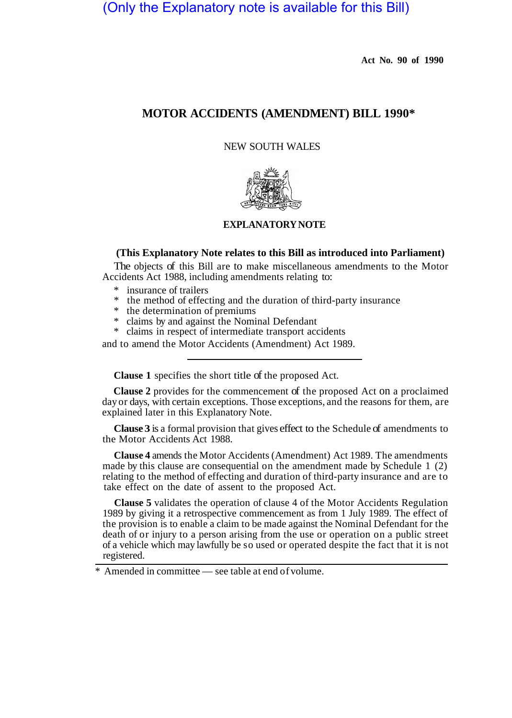(Only the Explanatory note is available for this Bill)

**Act No. 90 of 1990** 

# **MOTOR ACCIDENTS (AMENDMENT) BILL 1990\***

NEW SOUTH WALES



## **EXPLANATORY NOTE**

## **(This Explanatory Note relates to this Bill as introduced into Parliament)**

The objects of this Bill are to make miscellaneous amendments to the Motor Accidents Act 1988, including amendments relating to:

- \* insurance of trailers
- \* the method of effecting and the duration of third-party insurance
- $*$  the determination of premiums<br> $*$  claims by and against the Nomi
- \* claims by and against the Nominal Defendant<br>\* claims in respect of intermediate transport acc
- claims in respect of intermediate transport accidents

and to amend the Motor Accidents (Amendment) Act 1989.

**Clause 1** specifies the short title of the proposed Act.

**Clause 2** provides for the commencement of the proposed Act on a proclaimed day or days, with certain exceptions. Those exceptions, and the reasons for them, are explained later in this Explanatory Note.

**Clause 3** is a formal provision that gives effect to the Schedule of amendments to the Motor Accidents Act 1988.

**Clause 4** amends the Motor Accidents (Amendment) Act 1989. The amendments made by this clause are consequential on the amendment made by Schedule 1 (2) relating to the method of effecting and duration of third-party insurance and are to take effect on the date of assent to the proposed Act.

**Clause 5** validates the operation of clause 4 of the Motor Accidents Regulation 1989 by giving it a retrospective commencement as from 1 July 1989. The effect of the provision is to enable a claim to be made against the Nominal Defendant for the death of or injury to a person arising from the use or operation on a public street of a vehicle which may lawfully be so used or operated despite the fact that it is not registered.

Amended in committee — see table at end of volume.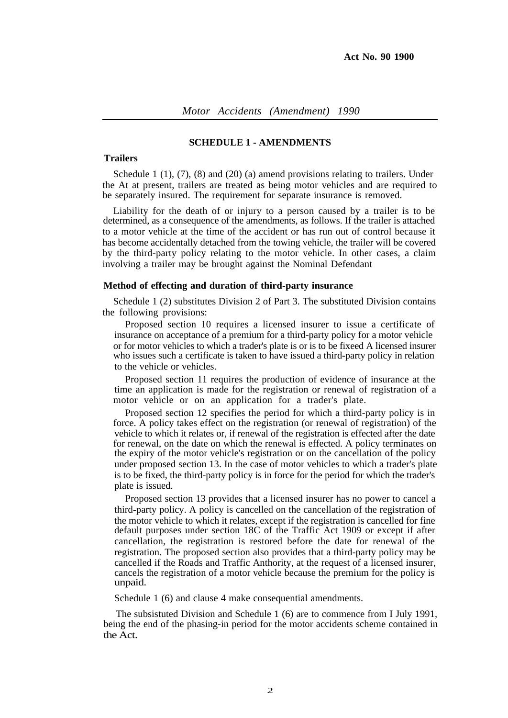#### **SCHEDULE 1 - AMENDMENTS**

### **Trailers**

Schedule 1  $(1)$ ,  $(7)$ ,  $(8)$  and  $(20)$   $(a)$  amend provisions relating to trailers. Under the At at present, trailers are treated as being motor vehicles and are required to be separately insured. The requirement for separate insurance is removed.

Liability for the death of or injury to a person caused by a trailer is to be determined, as a consequence of the amendments, as follows. If the trailer is attached to a motor vehicle at the time of the accident or has run out of control because it has become accidentally detached from the towing vehicle, the trailer will be covered by the third-party policy relating to the motor vehicle. In other cases, a claim involving a trailer may be brought against the Nominal Defendant

#### **Method of effecting and duration of third-party insurance**

Schedule 1 (2) substitutes Division 2 of Part 3. The substituted Division contains the following provisions:

Proposed section 10 requires a licensed insurer to issue a certificate of insurance on acceptance of a premium for a third-party policy for a motor vehicle or for motor vehicles to which a trader's plate is or is to be fixeed A licensed insurer who issues such a certificate is taken to have issued a third-party policy in relation to the vehicle or vehicles.

Proposed section 11 requires the production of evidence of insurance at the time an application is made for the registration or renewal of registration of a motor vehicle or on an application for a trader's plate.

Proposed section 12 specifies the period for which a third-party policy is in force. A policy takes effect on the registration (or renewal of registration) of the vehicle to which it relates or, if renewal of the registration is effected after the date for renewal, on the date on which the renewal is effected. A policy terminates on the expiry of the motor vehicle's registration or on the cancellation of the policy under proposed section 13. In the case of motor vehicles to which a trader's plate is to be fixed, the third-party policy is in force for the period for which the trader's plate is issued.

Proposed section 13 provides that a licensed insurer has no power to cancel a third-party policy. A policy is cancelled on the cancellation of the registration of the motor vehicle to which it relates, except if the registration is cancelled for fine default purposes under section 18C of the Traffic Act 1909 or except if after cancellation, the registration is restored before the date for renewal of the registration. The proposed section also provides that a third-party policy may be cancelled if the Roads and Traffic Anthority, at the request of a licensed insurer, cancels the registration of a motor vehicle because the premium for the policy is unpaid.

Schedule 1 (6) and clause 4 make consequential amendments.

The subsistuted Division and Schedule 1 (6) are to commence from I July 1991, being the end of the phasing-in period for the motor accidents scheme contained in the Act.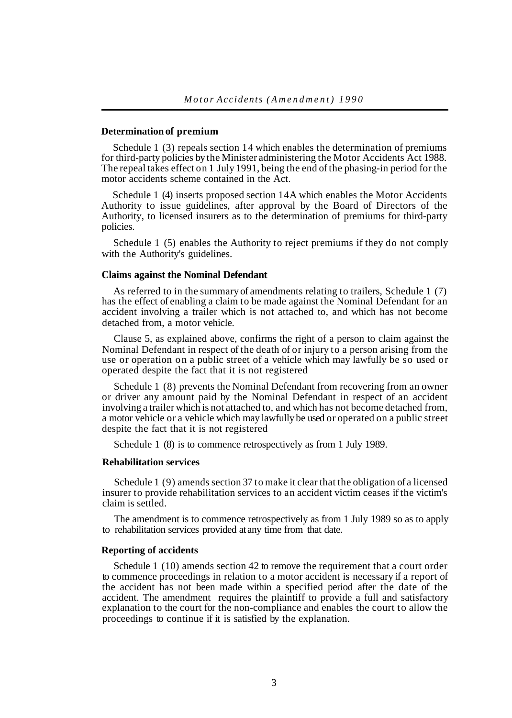#### **Determination of premium**

Schedule 1 (3) repeals section 14 which enables the determination of premiums for third-party policies by the Minister administering the Motor Accidents Act 1988. The repeal takes effect on 1 July 1991, being the end of the phasing-in period for the motor accidents scheme contained in the Act.

Schedule 1 (4) inserts proposed section 14A which enables the Motor Accidents Authority to issue guidelines, after approval by the Board of Directors of the Authority, to licensed insurers as to the determination of premiums for third-party policies.

Schedule 1 (5) enables the Authority to reject premiums if they do not comply with the Authority's guidelines.

## **Claims against the Nominal Defendant**

As referred to in the summary of amendments relating to trailers, Schedule 1 (7) has the effect of enabling a claim to be made against the Nominal Defendant for an accident involving a trailer which is not attached to, and which has not become detached from, a motor vehicle.

Clause 5, as explained above, confirms the right of a person to claim against the Nominal Defendant in respect of the death of or injury to a person arising from the use or operation on a public street of a vehicle which may lawfully be so used or operated despite the fact that it is not registered

Schedule 1 (8) prevents the Nominal Defendant from recovering from an owner or driver any amount paid by the Nominal Defendant in respect of an accident involving a trailer which is not attached to, and which has not become detached from, a motor vehicle or a vehicle which may lawfully be used or operated on a public street despite the fact that it is not registered

Schedule 1 (8) is to commence retrospectively as from 1 July 1989.

#### **Rehabilitation services**

Schedule 1 (9) amends section 37 to make it clear that the obligation of a licensed insurer to provide rehabilitation services to an accident victim ceases if the victim's claim is settled.

The amendment is to commence retrospectively as from 1 July 1989 so as to apply to rehabilitation services provided at any time from that date.

#### **Reporting of accidents**

Schedule 1 (10) amends section 42 to remove the requirement that a court order to commence proceedings in relation to a motor accident is necessary if a report of the accident has not been made within a specified period after the date of the accident. The amendment requires the plaintiff to provide a full and satisfactory explanation to the court for the non-compliance and enables the court to allow the proceedings to continue if it is satisfied by the explanation.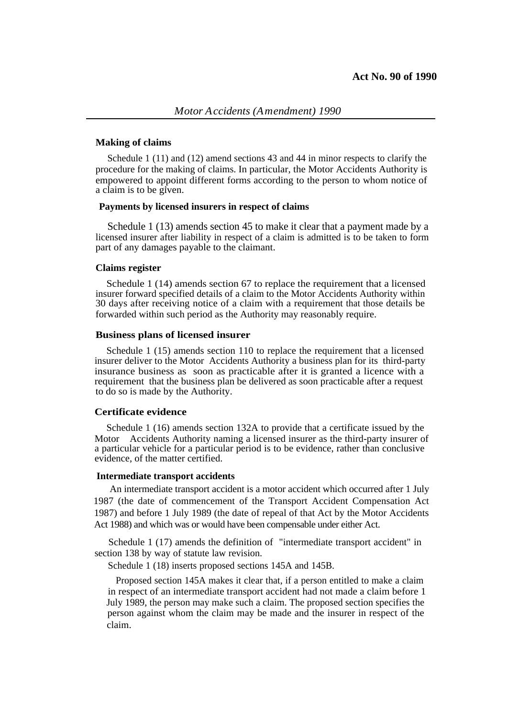## **Making of claims**

Schedule 1 (11) and (12) amend sections 43 and 44 in minor respects to clarify the procedure for the making of claims. In particular, the Motor Accidents Authority is empowered to appoint different forms according to the person to whom notice of a claim is to be given.

### **Payments by licensed insurers in respect of claims**

Schedule 1 (13) amends section 45 to make it clear that a payment made by a licensed insurer after liability in respect of a claim is admitted is to be taken to form part of any damages payable to the claimant.

#### **Claims register**

Schedule 1 (14) amends section 67 to replace the requirement that a licensed insurer forward specified details of a claim to the Motor Accidents Authority within 30 days after receiving notice of a claim with a requirement that those details be forwarded within such period as the Authority may reasonably require.

#### **Business plans of licensed insurer**

Schedule 1 (15) amends section 110 to replace the requirement that a licensed insurer deliver to the Motor Accidents Authority a business plan for its third-party insurance business as soon as practicable after it is granted a licence with a requirement that the business plan be delivered as soon practicable after a request to do so is made by the Authority.

## **Certificate evidence**

Schedule 1 (16) amends section 132A to provide that a certificate issued by the Motor Accidents Authority naming a licensed insurer as the third-party insurer of a particular vehicle for a particular period is to be evidence, rather than conclusive evidence, of the matter certified.

#### **Intermediate transport accidents**

An intermediate transport accident is a motor accident which occurred after 1 July 1987 (the date of commencement of the Transport Accident Compensation Act 1987) and before 1 July 1989 (the date of repeal of that Act by the Motor Accidents Act 1988) and which was or would have been compensable under either Act.

Schedule 1 (17) amends the definition of "intermediate transport accident" in section 138 by way of statute law revision.

Schedule 1 (18) inserts proposed sections 145A and 145B.

Proposed section 145A makes it clear that, if a person entitled to make a claim in respect of an intermediate transport accident had not made a claim before 1 July 1989, the person may make such a claim. The proposed section specifies the person against whom the claim may be made and the insurer in respect of the claim.